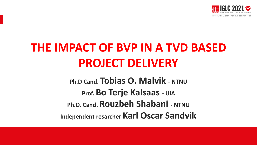

# **THE IMPACT OF BVP IN A TVD BASED PROJECT DELIVERY**

**Ph.D Cand. Tobias O. Malvik - NTNU Prof. Bo Terje Kalsaas - UiA Ph.D. Cand. Rouzbeh Shabani - NTNU Independent resarcher Karl Oscar Sandvik**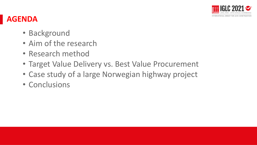

#### **AGENDA**

- Background
- Aim of the research
- Research method
- Target Value Delivery vs. Best Value Procurement
- Case study of a large Norwegian highway project
- Conclusions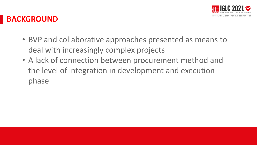

#### **BACKGROUND**

- BVP and collaborative approaches presented as means to deal with increasingly complex projects
- A lack of connection between procurement method and the level of integration in development and execution phase entrante a presentación entrante a proporcional de la proporcional de la proporcional de la proporcional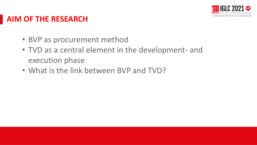

#### **AIM OF THE RESEARCH**

- BVP as procurement method
- TVD as a central element in the development- and execution phase
- What is the link between BVP and TVD?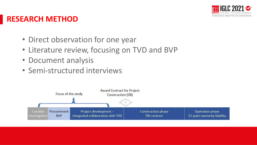

#### **RESEARCH METHOD**

- Direct observation for one year
- Literature review, focusing on TVD and BVP
- Document analysis
- Semi-structured interviews

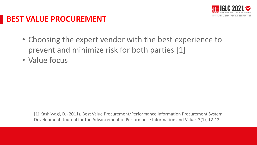

#### **BEST VALUE PROCUREMENT**

- Choosing the expert vendor with the best experience to prevent and minimize risk for both parties [1]
- Value focus

[1] Kashiwagi, D. (2011). Best Value Procurement/Performance Information Procurement System Development. Journal for the Advancement of Performance Information and Value, 3(1), 12-12.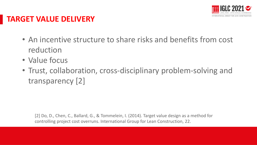

#### **TARGET VALUE DELIVERY**

- An incentive structure to share risks and benefits from cost reduction
- Value focus
- Trust, collaboration, cross-disciplinary problem-solving and transparency  $[2]$

[2] Do, D., Chen, C., Ballard, G., & Tommelein, I. (2014). Target value design as a method for controlling project cost overruns. International Group for Lean Construction, 22.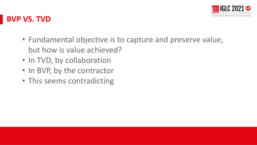

#### **BVP VS. TVD**

- Fundamental objective is to capture and preserve value, but how is value achieved?
- In TVD, by collaboration
- In BVP, by the contractor
- This seems contradicting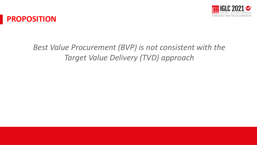



### *Best Value Procurement (BVP) is not consistent with the Target Value Delivery (TVD) approach*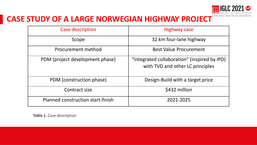

#### **CASE STUDY OF A LARGE NORWEGIAN HIGHWAY PROJECT** NTERNATIONAL GROUP

| Case description                  | Highway case                                                                     |
|-----------------------------------|----------------------------------------------------------------------------------|
| Scope                             | 32 km four-lane highway                                                          |
| Procurement method                | <b>Best Value Procurement</b>                                                    |
| PDM (project development phase)   | "Integrated collaboration" (inspired by IPD)<br>with TVD and other LC principles |
| PDM (construction phase)          | Design-Build with a target price                                                 |
| Contract size                     | \$432 million                                                                    |
| Planned construction start-finish | 2021-2025                                                                        |

**Table 1.** Case description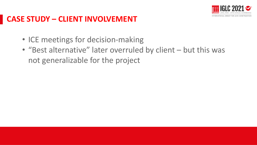

#### **CASE STUDY – CLIENT INVOLVEMENT**

- ICE meetings for decision-making
- "Best alternative" later overruled by client but this was not generalizable for the project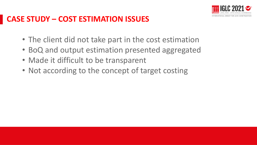

#### **CASE STUDY – COST ESTIMATION ISSUES**

- The client did not take part in the cost estimation
- BoQ and output estimation presented aggregated
- Made it difficult to be transparent
- Not according to the concept of target costing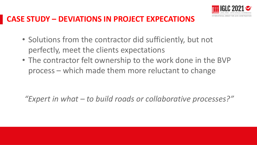

#### **CASE STUDY – DEVIATIONS IN PROJECT EXPECATIONS**

- Solutions from the contractor did sufficiently, but not perfectly, meet the clients expectations
- The contractor felt ownership to the work done in the BVP process – which made them more reluctant to change

*"Expert in what – to build roads or collaborative processes?"*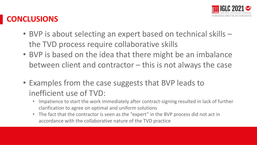

#### **CONCLUSIONS**

- BVP is about selecting an expert based on technical skills the TVD process require collaborative skills
- BVP is based on the idea that there might be an imbalance between client and contractor – this is not always the case
- Examples from the case suggests that BVP leads to inefficient use of TVD:
	- Impatience to start the work immediately after contract-signing resulted in lack of further clarification to agree on optimal and uniform solutions
	- The fact that the contractor is seen as the "expert" in the BVP process did not act in accordance with the collaborative nature of the TVD practice